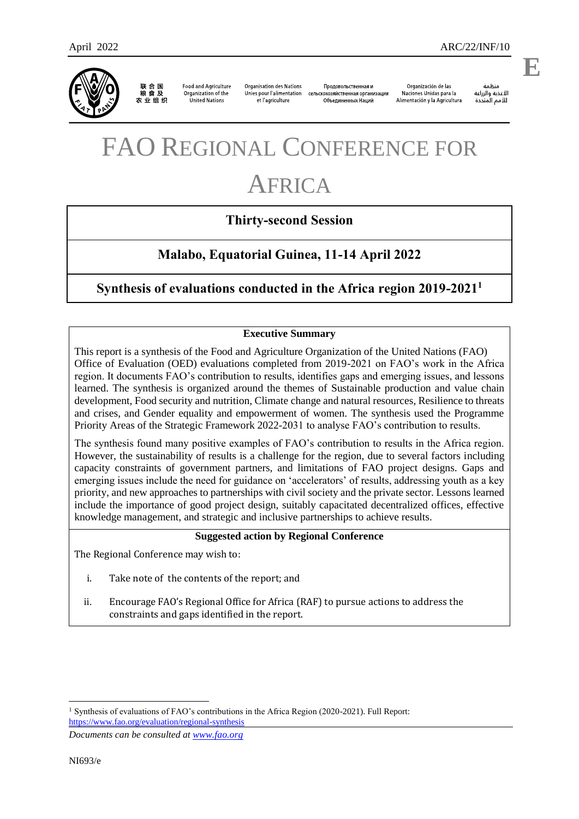联合国<br>粮食及 农业组织

**Food and Agriculture** Organization of the United Nations

**Organisation des Nations** Unies pour l'alimentation et l'agriculture

Продовольственная и сельскохозяйственная организация Объединенных Наций

Organización de las Naciones Unidas para la Alimentación y la Agricultura

änhin الأغذية والزراعة للأمم المتحدة

.

# FAO REGIONAL CONFERENCE FOR

# AFRICA

# **Thirty-second Session**

# **Malabo, Equatorial Guinea, 11-14 April 2022**

# **Synthesis of evaluations conducted in the Africa region 2019-2021<sup>1</sup>**

#### **Executive Summary**

This report is a synthesis of the Food and Agriculture Organization of the United Nations (FAO) Office of Evaluation (OED) evaluations completed from 2019-2021 on FAO's work in the Africa region. It documents FAO's contribution to results, identifies gaps and emerging issues, and lessons learned. The synthesis is organized around the themes of Sustainable production and value chain development, Food security and nutrition, Climate change and natural resources, Resilience to threats and crises, and Gender equality and empowerment of women. The synthesis used the Programme Priority Areas of the Strategic Framework 2022-2031 to analyse FAO's contribution to results.

The synthesis found many positive examples of FAO's contribution to results in the Africa region. However, the sustainability of results is a challenge for the region, due to several factors including capacity constraints of government partners, and limitations of FAO project designs. Gaps and emerging issues include the need for guidance on 'accelerators' of results, addressing youth as a key priority, and new approaches to partnerships with civil society and the private sector. Lessons learned include the importance of good project design, suitably capacitated decentralized offices, effective knowledge management, and strategic and inclusive partnerships to achieve results.

#### **Suggested action by Regional Conference**

The Regional Conference may wish to:

- i. Take note of the contents of the report; and
- ii. Encourage FAO's Regional Office for Africa (RAF) to pursue actions to address the constraints and gaps identified in the report.

*Documents can be consulted at [www.fao.org](http://www.fao.org/)*

l

<sup>&</sup>lt;sup>1</sup> Synthesis of evaluations of FAO's contributions in the Africa Region (2020-2021). Full Report: <https://www.fao.org/evaluation/regional-synthesis>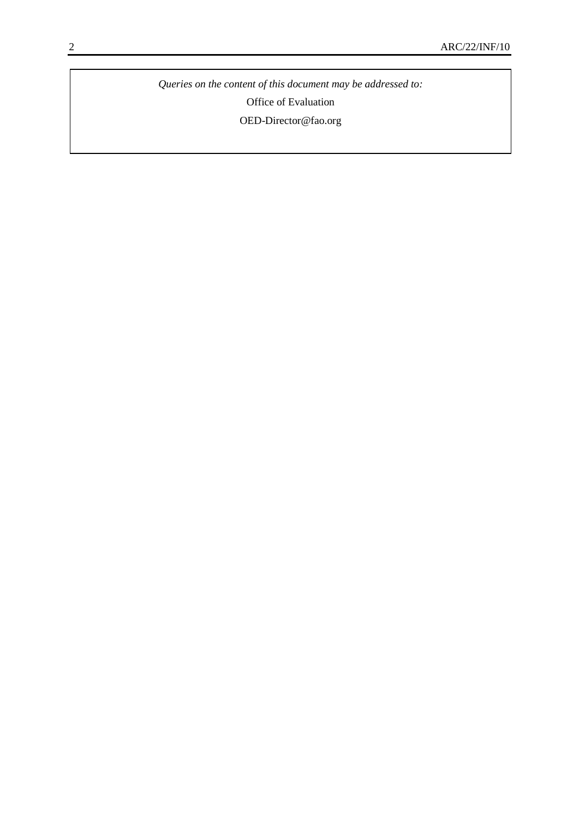*Queries on the content of this document may be addressed to:* Office of Evaluation [OED-Director@fao.org](mailto:OED-Director@fao.org)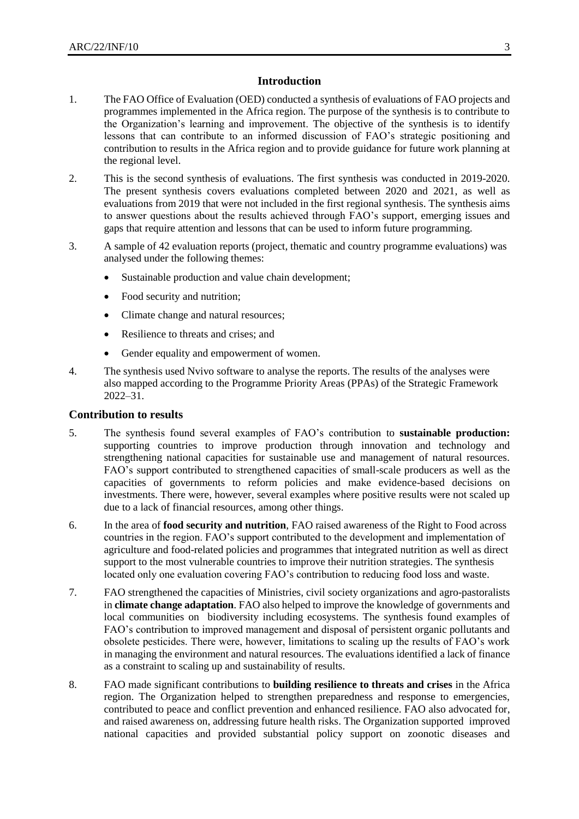#### **Introduction**

- 1. The FAO Office of Evaluation (OED) conducted a synthesis of evaluations of FAO projects and programmes implemented in the Africa region. The purpose of the synthesis is to contribute to the Organization's learning and improvement. The objective of the synthesis is to identify lessons that can contribute to an informed discussion of FAO's strategic positioning and contribution to results in the Africa region and to provide guidance for future work planning at the regional level.
- 2. This is the second synthesis of evaluations. The first synthesis was conducted in 2019-2020. The present synthesis covers evaluations completed between 2020 and 2021, as well as evaluations from 2019 that were not included in the first regional synthesis. The synthesis aims to answer questions about the results achieved through FAO's support, emerging issues and gaps that require attention and lessons that can be used to inform future programming.
- 3. A sample of 42 evaluation reports (project, thematic and country programme evaluations) was analysed under the following themes:
	- Sustainable production and value chain development;
	- Food security and nutrition;
	- Climate change and natural resources;
	- Resilience to threats and crises; and
	- Gender equality and empowerment of women.
- 4. The synthesis used Nvivo software to analyse the reports. The results of the analyses were also mapped according to the Programme Priority Areas (PPAs) of the Strategic Framework 2022–31.

#### **Contribution to results**

- 5. The synthesis found several examples of FAO's contribution to **sustainable production:** supporting countries to improve production through innovation and technology and strengthening national capacities for sustainable use and management of natural resources. FAO's support contributed to strengthened capacities of small-scale producers as well as the capacities of governments to reform policies and make evidence-based decisions on investments. There were, however, several examples where positive results were not scaled up due to a lack of financial resources, among other things.
- 6. In the area of **food security and nutrition**, FAO raised awareness of the Right to Food across countries in the region. FAO's support contributed to the development and implementation of agriculture and food-related policies and programmes that integrated nutrition as well as direct support to the most vulnerable countries to improve their nutrition strategies. The synthesis located only one evaluation covering FAO's contribution to reducing food loss and waste.
- 7. FAO strengthened the capacities of Ministries, civil society organizations and agro-pastoralists in **climate change adaptation**. FAO also helped to improve the knowledge of governments and local communities on biodiversity including ecosystems. The synthesis found examples of FAO's contribution to improved management and disposal of persistent organic pollutants and obsolete pesticides. There were, however, limitations to scaling up the results of FAO's work in managing the environment and natural resources. The evaluations identified a lack of finance as a constraint to scaling up and sustainability of results.
- 8. FAO made significant contributions to **building resilience to threats and crises** in the Africa region. The Organization helped to strengthen preparedness and response to emergencies, contributed to peace and conflict prevention and enhanced resilience. FAO also advocated for, and raised awareness on, addressing future health risks. The Organization supported improved national capacities and provided substantial policy support on zoonotic diseases and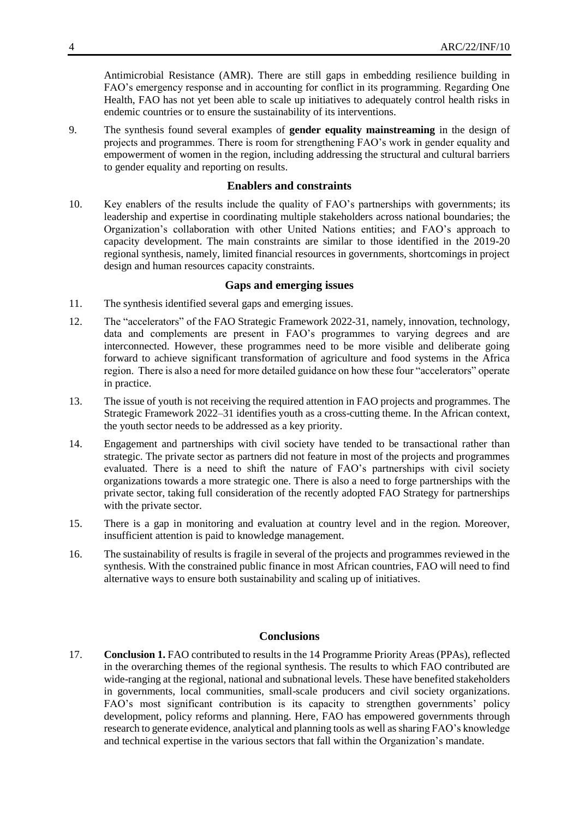Antimicrobial Resistance (AMR). There are still gaps in embedding resilience building in FAO's emergency response and in accounting for conflict in its programming. Regarding One Health, FAO has not yet been able to scale up initiatives to adequately control health risks in endemic countries or to ensure the sustainability of its interventions.

9. The synthesis found several examples of **gender equality mainstreaming** in the design of projects and programmes. There is room for strengthening FAO's work in gender equality and empowerment of women in the region, including addressing the structural and cultural barriers to gender equality and reporting on results.

#### **Enablers and constraints**

10. Key enablers of the results include the quality of FAO's partnerships with governments; its leadership and expertise in coordinating multiple stakeholders across national boundaries; the Organization's collaboration with other United Nations entities; and FAO's approach to capacity development. The main constraints are similar to those identified in the 2019-20 regional synthesis, namely, limited financial resources in governments, shortcomings in project design and human resources capacity constraints.

#### **Gaps and emerging issues**

- 11. The synthesis identified several gaps and emerging issues.
- 12. The "accelerators" of the FAO Strategic Framework 2022-31, namely, innovation, technology, data and complements are present in FAO's programmes to varying degrees and are interconnected. However, these programmes need to be more visible and deliberate going forward to achieve significant transformation of agriculture and food systems in the Africa region. There is also a need for more detailed guidance on how these four "accelerators" operate in practice.
- 13. The issue of youth is not receiving the required attention in FAO projects and programmes. The Strategic Framework 2022–31 identifies youth as a cross-cutting theme. In the African context, the youth sector needs to be addressed as a key priority.
- 14. Engagement and partnerships with civil society have tended to be transactional rather than strategic. The private sector as partners did not feature in most of the projects and programmes evaluated. There is a need to shift the nature of FAO's partnerships with civil society organizations towards a more strategic one. There is also a need to forge partnerships with the private sector, taking full consideration of the recently adopted FAO Strategy for partnerships with the private sector.
- 15. There is a gap in monitoring and evaluation at country level and in the region. Moreover, insufficient attention is paid to knowledge management.
- 16. The sustainability of results is fragile in several of the projects and programmes reviewed in the synthesis. With the constrained public finance in most African countries, FAO will need to find alternative ways to ensure both sustainability and scaling up of initiatives.

#### **Conclusions**

17. **Conclusion 1.** FAO contributed to results in the 14 Programme Priority Areas (PPAs), reflected in the overarching themes of the regional synthesis. The results to which FAO contributed are wide-ranging at the regional, national and subnational levels. These have benefited stakeholders in governments, local communities, small-scale producers and civil society organizations. FAO's most significant contribution is its capacity to strengthen governments' policy development, policy reforms and planning. Here, FAO has empowered governments through research to generate evidence, analytical and planning tools as well assharing FAO's knowledge and technical expertise in the various sectors that fall within the Organization's mandate.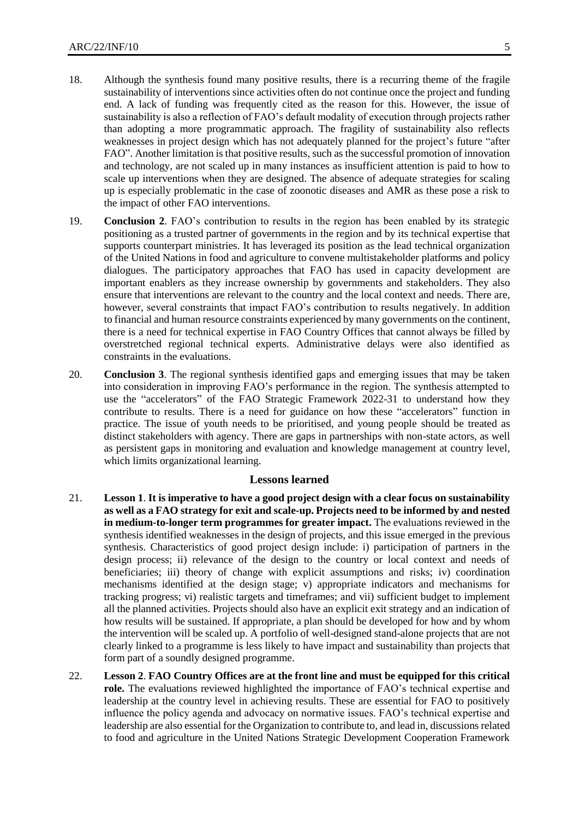- 18. Although the synthesis found many positive results, there is a recurring theme of the fragile sustainability of interventions since activities often do not continue once the project and funding end. A lack of funding was frequently cited as the reason for this. However, the issue of sustainability is also a reflection of FAO's default modality of execution through projects rather than adopting a more programmatic approach. The fragility of sustainability also reflects weaknesses in project design which has not adequately planned for the project's future "after FAO". Another limitation is that positive results, such as the successful promotion of innovation and technology, are not scaled up in many instances as insufficient attention is paid to how to scale up interventions when they are designed. The absence of adequate strategies for scaling up is especially problematic in the case of zoonotic diseases and AMR as these pose a risk to the impact of other FAO interventions.
- 19. **Conclusion 2**. FAO's contribution to results in the region has been enabled by its strategic positioning as a trusted partner of governments in the region and by its technical expertise that supports counterpart ministries. It has leveraged its position as the lead technical organization of the United Nations in food and agriculture to convene multistakeholder platforms and policy dialogues. The participatory approaches that FAO has used in capacity development are important enablers as they increase ownership by governments and stakeholders. They also ensure that interventions are relevant to the country and the local context and needs. There are, however, several constraints that impact FAO's contribution to results negatively. In addition to financial and human resource constraints experienced by many governments on the continent, there is a need for technical expertise in FAO Country Offices that cannot always be filled by overstretched regional technical experts. Administrative delays were also identified as constraints in the evaluations.
- 20. **Conclusion 3**. The regional synthesis identified gaps and emerging issues that may be taken into consideration in improving FAO's performance in the region. The synthesis attempted to use the "accelerators" of the FAO Strategic Framework 2022-31 to understand how they contribute to results. There is a need for guidance on how these "accelerators" function in practice. The issue of youth needs to be prioritised, and young people should be treated as distinct stakeholders with agency. There are gaps in partnerships with non-state actors, as well as persistent gaps in monitoring and evaluation and knowledge management at country level, which limits organizational learning.

#### **Lessons learned**

- 21. **Lesson 1**. **It is imperative to have a good project design with a clear focus on sustainability as well as a FAO strategy for exit and scale-up. Projects need to be informed by and nested in medium-to-longer term programmes for greater impact.** The evaluations reviewed in the synthesis identified weaknesses in the design of projects, and this issue emerged in the previous synthesis. Characteristics of good project design include: i) participation of partners in the design process; ii) relevance of the design to the country or local context and needs of beneficiaries; iii) theory of change with explicit assumptions and risks; iv) coordination mechanisms identified at the design stage; v) appropriate indicators and mechanisms for tracking progress; vi) realistic targets and timeframes; and vii) sufficient budget to implement all the planned activities. Projects should also have an explicit exit strategy and an indication of how results will be sustained. If appropriate, a plan should be developed for how and by whom the intervention will be scaled up. A portfolio of well-designed stand-alone projects that are not clearly linked to a programme is less likely to have impact and sustainability than projects that form part of a soundly designed programme.
- 22. **Lesson 2**. **FAO Country Offices are at the front line and must be equipped for this critical role.** The evaluations reviewed highlighted the importance of FAO's technical expertise and leadership at the country level in achieving results. These are essential for FAO to positively influence the policy agenda and advocacy on normative issues. FAO's technical expertise and leadership are also essential for the Organization to contribute to, and lead in, discussions related to food and agriculture in the United Nations Strategic Development Cooperation Framework